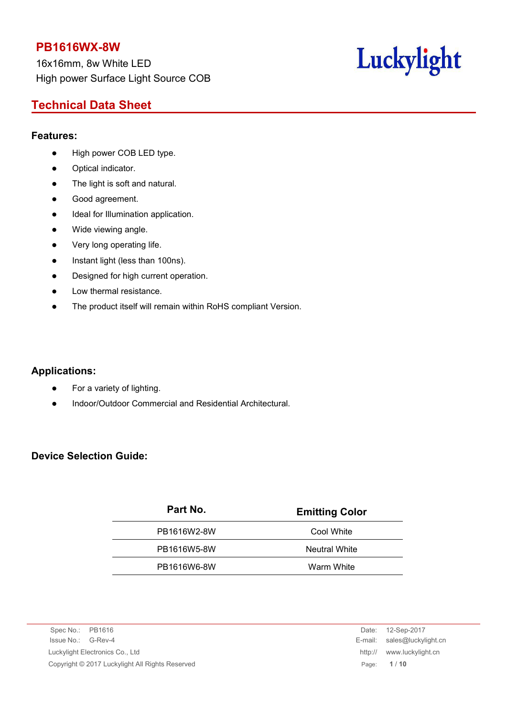16x16mm, 8w White LED High power Surface Light Source COB

# Luckylight

# **Technical Data Sheet**

#### **Features:**

- High power COB LED type.
- Optical indicator.
- The light is soft and natural.
- Good agreement.
- $\bullet$  Ideal for Illumination application.
- Wide viewing angle.
- Very long operating life.
- Instant light (less than 100ns).
- Designed for high current operation.
- Low thermal resistance.
- The product itself will remain within RoHS compliant Version.

# **Applications:**

- For a variety of lighting.
- Indoor/Outdoor Commercial and Residential Architectural.

# **Device Selection Guide:**

| Part No.    | <b>Emitting Color</b> |
|-------------|-----------------------|
| PB1616W2-8W | Cool White            |
| PB1616W5-8W | <b>Neutral White</b>  |
| PB1616W6-8W | Warm White            |
|             |                       |

Spec No.: PB1616 Date: 12-Sep-2017 Issue No.: G-Rev-4 E-mail: sales@luckylight.cn Luckylight Electronics Co., Ltd http:// www.luckylight.cn Copyright © 2017 Luckylight All Rights Reserved Page: **1** / **10**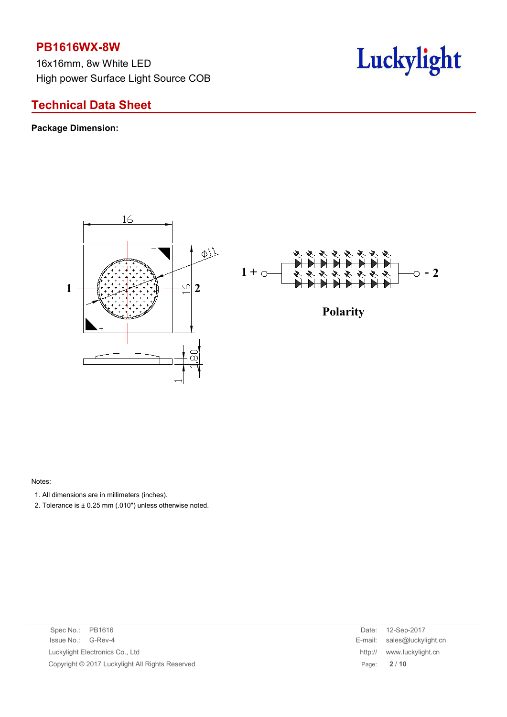16x16mm, 8w White LED High power Surface Light Source COB



# **Technical Data Sheet**

### **Package Dimension:**





Notes:

- 1. All dimensions are in millimeters (inches).
- 2. Tolerance is  $\pm$  0.25 mm (.010") unless otherwise noted.

| Spec No.: PB1616                                | 12-Sep-2017<br>Date:        |
|-------------------------------------------------|-----------------------------|
| Issue No.: G-Rev-4                              | E-mail: sales@luckylight.cn |
| Luckylight Electronics Co., Ltd                 | http:// www.luckylight.cn   |
| Copyright © 2017 Luckylight All Rights Reserved | 2/10<br>Page:               |

| Date:   | 12-Sep-2017         |
|---------|---------------------|
| E-mail: | sales@luckylight.cn |
| http:// | www.luckylight.cn   |
| Page:   | 2/10                |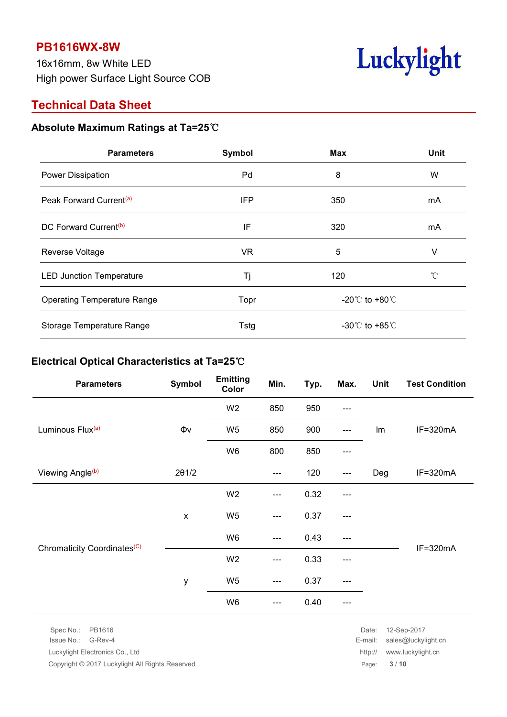16x16mm, 8w White LED High power Surface Light Source COB



# **Technical Data Sheet**

# **Absolute Maximum Ratings at Ta=25**℃

| <b>Parameters</b>                   | Symbol    | <b>Max</b>                           | <b>Unit</b>  |
|-------------------------------------|-----------|--------------------------------------|--------------|
| Power Dissipation                   | Pd        | 8                                    | W            |
| Peak Forward Current <sup>(a)</sup> | IFP       | 350                                  | mA           |
| DC Forward Current <sup>(b)</sup>   | IF        | 320                                  | mA           |
| Reverse Voltage                     | <b>VR</b> | 5                                    | v            |
| <b>LED Junction Temperature</b>     | Τj        | 120                                  | $^{\circ}$ C |
| <b>Operating Temperature Range</b>  | Topr      | -20 $^{\circ}$ C to +80 $^{\circ}$ C |              |
| Storage Temperature Range           | Tstg      | -30 $^{\circ}$ C to +85 $^{\circ}$ C |              |

## **Electrical Optical Characteristics at Ta=25**℃

| Symbol                                                                                                                                                                                                          | <b>Emitting</b><br>Color | Min.                                | Typ. | Max.  | <b>Unit</b> | <b>Test Condition</b> |
|-----------------------------------------------------------------------------------------------------------------------------------------------------------------------------------------------------------------|--------------------------|-------------------------------------|------|-------|-------------|-----------------------|
|                                                                                                                                                                                                                 | W <sub>2</sub>           | 850                                 | 950  | ---   |             |                       |
| $\Phi\mathsf{v}$                                                                                                                                                                                                | W <sub>5</sub>           | 850                                 | 900  | $---$ | Im          | $IF = 320mA$          |
|                                                                                                                                                                                                                 | W6                       | 800                                 | 850  | $---$ |             |                       |
| 201/2                                                                                                                                                                                                           |                          | ---                                 | 120  | $---$ | Deg         | $IF = 320mA$          |
|                                                                                                                                                                                                                 | W <sub>2</sub>           | $\hspace{0.05cm}---\hspace{0.05cm}$ | 0.32 | $---$ |             |                       |
| $\pmb{\times}$                                                                                                                                                                                                  | W <sub>5</sub>           | $\hspace{0.05cm} \dashrightarrow$   | 0.37 | ---   |             |                       |
| 0.43<br>W <sub>6</sub><br>---<br>---<br>IF=320mA<br>W <sub>2</sub><br>0.33<br>$---$<br>---<br>W <sub>5</sub><br>0.37<br>у<br>$\hspace{0.05cm}---\hspace{0.05cm}$<br>---<br>W <sub>6</sub><br>0.40<br>---<br>--- |                          |                                     |      |       |             |                       |
|                                                                                                                                                                                                                 |                          |                                     |      |       |             |                       |
|                                                                                                                                                                                                                 |                          |                                     |      |       |             |                       |
|                                                                                                                                                                                                                 |                          |                                     |      |       |             |                       |
|                                                                                                                                                                                                                 |                          |                                     |      |       |             |                       |

Spec No.: PB1616 Date: 12-Sep-2017

Copyright © 2017 Luckylight All Rights Reserved **Page:** 3 / 10

Issue No.: G-Rev-4 E-mail: sales@luckylight.cn Luckylight Electronics Co., Ltd http:// www.luckylight.cn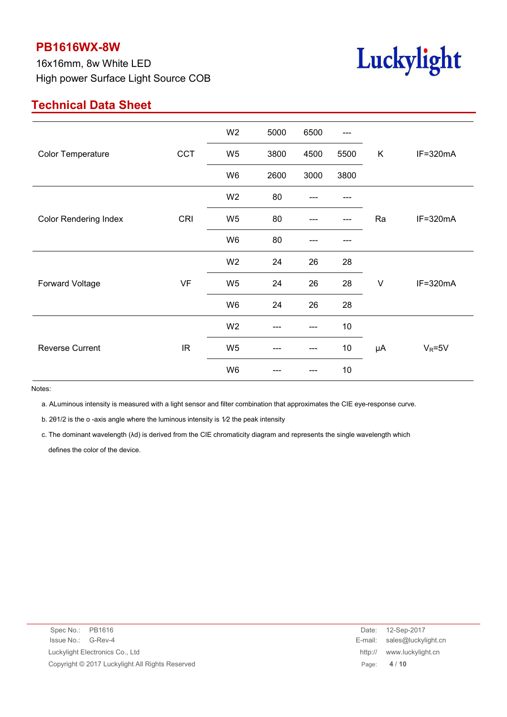16x16mm, 8w White LED High power Surface Light Source COB



# **Technical Data Sheet**

|                              |                                   | W <sub>2</sub>                                                                                                                                                                             | 5000 | 6500 | $---$ |    |              |
|------------------------------|-----------------------------------|--------------------------------------------------------------------------------------------------------------------------------------------------------------------------------------------|------|------|-------|----|--------------|
| <b>Color Temperature</b>     | <b>CCT</b>                        | W <sub>5</sub>                                                                                                                                                                             | 3800 | 4500 | 5500  | K  | IF=320mA     |
|                              |                                   | W6                                                                                                                                                                                         | 2600 | 3000 | 3800  |    |              |
| <b>Color Rendering Index</b> |                                   | W <sub>2</sub>                                                                                                                                                                             | 80   |      |       |    | $IF = 320mA$ |
|                              | CRI                               | W <sub>5</sub>                                                                                                                                                                             | 80   |      |       | Ra |              |
|                              |                                   | W6                                                                                                                                                                                         | 80   |      |       |    |              |
|                              |                                   | W <sub>2</sub>                                                                                                                                                                             | 24   | 26   | 28    |    |              |
| Forward Voltage              | VF                                | 26<br>W <sub>5</sub><br>24<br>28<br>$\vee$<br>IF=320mA<br>26<br>W <sub>6</sub><br>24<br>28<br>10<br>W <sub>2</sub><br>$10$<br>W <sub>5</sub><br>$V_R = 5V$<br>μA<br>---<br>---<br>W6<br>10 |      |      |       |    |              |
|                              |                                   |                                                                                                                                                                                            |      |      |       |    |              |
|                              |                                   |                                                                                                                                                                                            |      |      |       |    |              |
| <b>Reverse Current</b>       | $\ensuremath{\mathsf{IR}}\xspace$ |                                                                                                                                                                                            |      |      |       |    |              |
|                              |                                   |                                                                                                                                                                                            |      |      |       |    |              |

Notes:

a. ALuminous intensity is measured with a light sensor and filter combination that approximates the CIE eye-response curve.

b. 201/2 is the o -axis angle where the luminous intensity is 1/2 the peak intensity

c. The dominant wavelength (λd) is derived from the CIE chromaticity diagram and represents the single wavelength which defines the color of the device.

| Spec No.: PB1616                                | Date:   | 12-Sep-2017                 |
|-------------------------------------------------|---------|-----------------------------|
| Issue No.: G-Rev-4                              |         | E-mail: sales@luckylight.cn |
| Luckylight Electronics Co., Ltd                 | http:// | www.luckylight.cn           |
| Copyright © 2017 Luckylight All Rights Reserved |         | Page: 4/10                  |
|                                                 |         |                             |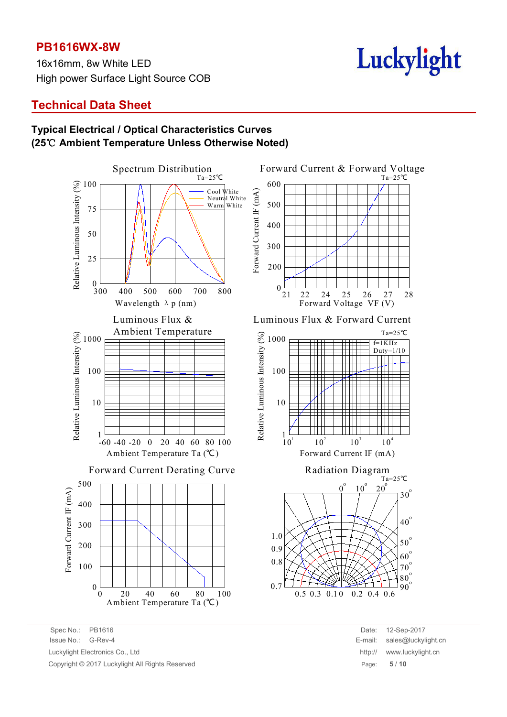16x16mm, 8w White LED High power Surface Light Source COB

# Luckylight

# **Technical Data Sheet**

### **Typical Electrical / Optical Characteristics Curves (25**℃ **Ambient Temperature Unless Otherwise Noted)**



Spec No.: PB1616 Date: 12-Sep-2017 Issue No.: G-Rev-4 E-mail: sales@luckylight.cn Luckylight Electronics Co., Ltd Copyright © 2017 Luckylight All Rights Reserved

| Date:   | 12-Sep-2017         |
|---------|---------------------|
| E-mail: | sales@luckylight.cn |
| http:// | www.luckylight.cn   |
| Page:   | 5/10                |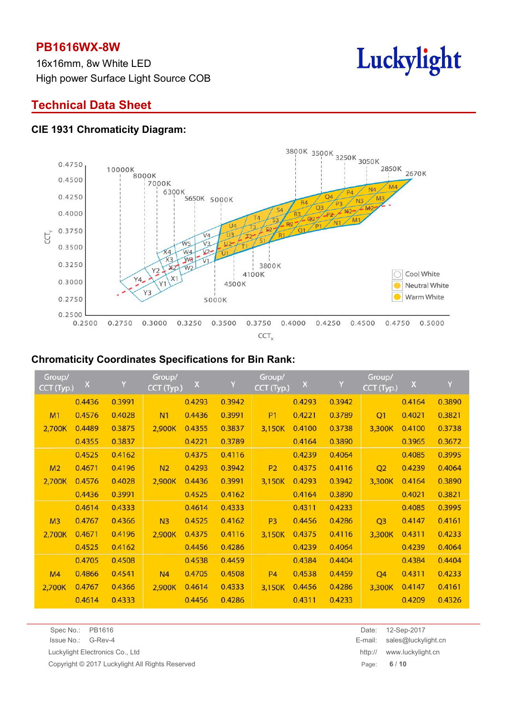16x16mm, 8w White LED High power Surface Light Source COB



# **Technical Data Sheet**

#### **CIE 1931 Chromaticity Diagram:**



#### **Chromaticity Coordinates Specifications for Bin Rank:**

| Group/<br>CCT (Typ.) | $\mathsf{X}$ | Y      | Group/<br>CCT (Typ.) | $\mathsf X$ | Y      | Group/<br>CCT (Typ.) | $\mathsf X$ | Y      | Group/<br>CCT (Typ.) | $\mathsf X$ | Y      |
|----------------------|--------------|--------|----------------------|-------------|--------|----------------------|-------------|--------|----------------------|-------------|--------|
|                      | 0.4436       | 0.3991 |                      | 0.4293      | 0.3942 |                      | 0.4293      | 0.3942 |                      | 0.4164      | 0.3890 |
| M1                   | 0.4576       | 0.4028 | N <sub>1</sub>       | 0.4436      | 0.3991 | <b>P1</b>            | 0.4221      | 0.3789 | Q <sub>1</sub>       | 0.4021      | 0.3821 |
| 2,700K               | 0.4489       | 0.3875 | 2,900K               | 0.4355      | 0.3837 | 3,150K               | 0.4100      | 0.3738 | 3,300K               | 0.4100      | 0.3738 |
|                      | 0.4355       | 0.3837 |                      | 0.4221      | 0.3789 |                      | 0.4164      | 0.3890 |                      | 0.3965      | 0.3672 |
|                      | 0.4525       | 0.4162 |                      | 0.4375      | 0.4116 |                      | 0.4239      | 0.4064 |                      | 0.4085      | 0.3995 |
| M <sub>2</sub>       | 0.4671       | 0.4196 | N <sub>2</sub>       | 0.4293      | 0.3942 | <b>P2</b>            | 0.4375      | 0.4116 | Q2                   | 0.4239      | 0.4064 |
| 2,700K               | 0.4576       | 0.4028 | 2,900K               | 0.4436      | 0.3991 | 3,150K               | 0.4293      | 0.3942 | 3,300K               | 0.4164      | 0.3890 |
|                      | 0.4436       | 0.3991 |                      | 0.4525      | 0.4162 |                      | 0.4164      | 0.3890 |                      | 0.4021      | 0.3821 |
|                      | 0.4614       | 0.4333 |                      | 0.4614      | 0.4333 |                      | 0.4311      | 0.4233 |                      | 0.4085      | 0.3995 |
| M <sub>3</sub>       | 0.4767       | 0.4366 | N <sub>3</sub>       | 0.4525      | 0.4162 | P <sub>3</sub>       | 0.4456      | 0.4286 | Q <sub>3</sub>       | 0.4147      | 0.4161 |
| 2,700K               | 0.4671       | 0.4196 | 2,900K               | 0.4375      | 0.4116 | 3,150K               | 0.4375      | 0.4116 | 3,300K               | 0.4311      | 0.4233 |
|                      | 0.4525       | 0.4162 |                      | 0.4456      | 0.4286 |                      | 0.4239      | 0.4064 |                      | 0.4239      | 0.4064 |
|                      | 0.4705       | 0.4508 |                      | 0.4538      | 0.4459 |                      | 0.4384      | 0.4404 |                      | 0.4384      | 0.4404 |
| M <sub>4</sub>       | 0.4866       | 0.4541 | N <sub>4</sub>       | 0.4705      | 0.4508 | <b>P4</b>            | 0.4538      | 0.4459 | Q <sub>4</sub>       | 0.4311      | 0.4233 |
| 2,700K               | 0.4767       | 0.4366 | 2,900K               | 0.4614      | 0.4333 | 3,150K               | 0.4456      | 0.4286 | 3,300K               | 0.4147      | 0.4161 |
|                      | 0.4614       | 0.4333 |                      | 0.4456      | 0.4286 |                      | 0.4311      | 0.4233 |                      | 0.4209      | 0.4326 |

| Spec No.: | PB1616 |  |  |
|-----------|--------|--|--|
|           |        |  |  |

Copyright © 2017 Luckylight All Rights Reserved Page: **6** / **10**

Spec No.: PB1616 Date: 12-Sep-2017 Issue No.: G-Rev-4 E-mail: sales@luckylight.cn Luckylight Electronics Co., Ltd http:// www.luckylight.cn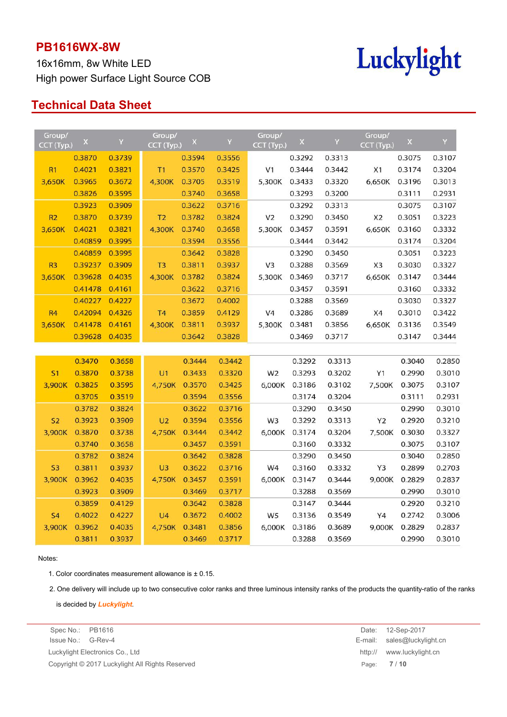16x16mm, 8w White LED High power Surface Light Source COB



# **Technical Data Sheet**

| Group/<br>CCT (Typ.) | $\mathsf X$ | Y      | Group/<br>CCT (Typ.) | $\mathsf X$ | Y      | Group/<br>CCT (Typ.) | $\mathsf X$ | Y      | Group/<br>CCT (Typ.) | X      | Y      |
|----------------------|-------------|--------|----------------------|-------------|--------|----------------------|-------------|--------|----------------------|--------|--------|
|                      | 0.3870      | 0.3739 |                      | 0.3594      | 0.3556 |                      | 0.3292      | 0.3313 |                      | 0.3075 | 0.3107 |
| R1                   | 0.4021      | 0.3821 | T1                   | 0.3570      | 0.3425 | V <sub>1</sub>       | 0.3444      | 0.3442 | X1                   | 0.3174 | 0.3204 |
| 3,650K               | 0.3965      | 0.3672 | 4,300K               | 0.3705      | 0.3519 | 5,300K               | 0.3433      | 0.3320 | 6,650K               | 0.3196 | 0.3013 |
|                      | 0.3826      | 0.3595 |                      | 0.3740      | 0.3658 |                      | 0.3293      | 0.3200 |                      | 0.3111 | 0.2931 |
|                      | 0.3923      | 0.3909 |                      | 0.3622      | 0.3716 |                      | 0.3292      | 0.3313 |                      | 0.3075 | 0.3107 |
| R2                   | 0.3870      | 0.3739 | T <sub>2</sub>       | 0.3782      | 0.3824 | V <sub>2</sub>       | 0.3290      | 0.3450 | X <sub>2</sub>       | 0.3051 | 0.3223 |
| 3,650K               | 0.4021      | 0.3821 | 4,300K               | 0.3740      | 0.3658 | 5,300K               | 0.3457      | 0.3591 | 6,650K               | 0.3160 | 0.3332 |
|                      | 0.40859     | 0.3995 |                      | 0.3594      | 0.3556 |                      | 0.3444      | 0.3442 |                      | 0.3174 | 0.3204 |
|                      | 0.40859     | 0.3995 |                      | 0.3642      | 0.3828 |                      | 0.3290      | 0.3450 |                      | 0.3051 | 0.3223 |
| R <sub>3</sub>       | 0.39237     | 0.3909 | T <sub>3</sub>       | 0.3811      | 0.3937 | V <sub>3</sub>       | 0.3288      | 0.3569 | X <sub>3</sub>       | 0.3030 | 0.3327 |
| 3,650K               | 0.39628     | 0.4035 | 4,300K               | 0.3782      | 0.3824 | 5,300K               | 0.3469      | 0.3717 | 6,650K               | 0.3147 | 0.3444 |
|                      | 0.41478     | 0.4161 |                      | 0.3622      | 0.3716 |                      | 0.3457      | 0.3591 |                      | 0.3160 | 0.3332 |
|                      | 0.40227     | 0.4227 |                      | 0.3672      | 0.4002 |                      | 0.3288      | 0.3569 |                      | 0.3030 | 0.3327 |
| <b>R4</b>            | 0.42094     | 0.4326 | T <sub>4</sub>       | 0.3859      | 0.4129 | V4                   | 0.3286      | 0.3689 | X4                   | 0.3010 | 0.3422 |
| 3,650K               | 0.41478     | 0.4161 | 4,300K               | 0.3811      | 0.3937 | 5,300K               | 0.3481      | 0.3856 | 6,650K               | 0.3136 | 0.3549 |
|                      | 0.39628     | 0.4035 |                      | 0.3642      | 0.3828 |                      | 0.3469      | 0.3717 |                      | 0.3147 | 0.3444 |
|                      |             |        |                      |             |        |                      |             |        |                      |        |        |
|                      | 0.3470      | 0.3658 |                      | 0.3444      | 0.3442 |                      | 0.3292      | 0.3313 |                      | 0.3040 | 0.2850 |
| S <sub>1</sub>       | 0.3870      | 0.3738 | U1                   | 0.3433      | 0.3320 | W <sub>2</sub>       | 0.3293      | 0.3202 | Y1                   | 0.2990 | 0.3010 |
| 3,900K               | 0.3825      | 0.3595 | 4,750K               | 0.3570      | 0.3425 | 6,000K               | 0.3186      | 0.3102 | 7,500K               | 0.3075 | 0.3107 |
|                      | 0.3705      | 0.3519 |                      | 0.3594      | 0.3556 |                      | 0.3174      | 0.3204 |                      | 0.3111 | 0.2931 |
|                      | 0.3782      | 0.3824 |                      | 0.3622      | 0.3716 |                      | 0.3290      | 0.3450 |                      | 0.2990 | 0.3010 |
| S <sub>2</sub>       | 0.3923      | 0.3909 | U <sub>2</sub>       | 0.3594      | 0.3556 | W <sub>3</sub>       | 0.3292      | 0.3313 | Y2                   | 0.2920 | 0.3210 |
| 3,900K               | 0.3870      | 0.3738 | 4,750K               | 0.3444      | 0.3442 | 6,000K               | 0.3174      | 0.3204 | 7,500K               | 0.3030 | 0.3327 |
|                      | 0.3740      | 0.3658 |                      | 0.3457      | 0.3591 |                      | 0.3160      | 0.3332 |                      | 0.3075 | 0.3107 |
|                      | 0.3782      | 0.3824 |                      | 0.3642      | 0.3828 |                      | 0.3290      | 0.3450 |                      | 0.3040 | 0.2850 |
| S <sub>3</sub>       | 0.3811      | 0.3937 | U <sub>3</sub>       | 0.3622      | 0.3716 | W4                   | 0.3160      | 0.3332 | Y3                   | 0.2899 | 0.2703 |
| 3,900K               | 0.3962      | 0.4035 | 4,750K               | 0.3457      | 0.3591 | 6,000K               | 0.3147      | 0.3444 | 9,000K               | 0.2829 | 0.2837 |
|                      | 0.3923      | 0.3909 |                      | 0.3469      | 0.3717 |                      | 0.3288      | 0.3569 |                      | 0.2990 | 0.3010 |
|                      | 0.3859      | 0.4129 |                      | 0.3642      | 0.3828 |                      | 0.3147      | 0.3444 |                      | 0.2920 | 0.3210 |
| <b>S4</b>            | 0.4022      | 0.4227 | U <sub>4</sub>       | 0.3672      | 0.4002 | W <sub>5</sub>       | 0.3136      | 0.3549 | Y4                   | 0.2742 | 0.3006 |
| 3,900K               | 0.3962      | 0.4035 | 4,750K               | 0.3481      | 0.3856 | 6,000K               | 0.3186      | 0.3689 | 9,000K               | 0.2829 | 0.2837 |
|                      | 0.3811      | 0.3937 |                      | 0.3469      | 0.3717 |                      | 0.3288      | 0.3569 |                      | 0.2990 | 0.3010 |

#### Notes:

1. Color coordinates measurement allowance is  $\pm$  0.15.

2. One delivery will include up to two consecutive color ranks and three luminous intensity ranks of the products the quantity-ratio of the ranks

is decided by *Luckylight*.

Issue No.: G-Rev-4 E-mail: sales@luckylight.cn Luckylight Electronics Co., Ltd http:// www.luckylight.cn Copyright © 2017 Luckylight All Rights Reserved **Page: 7** / 10

Spec No.: PB1616 Date: 12-Sep-2017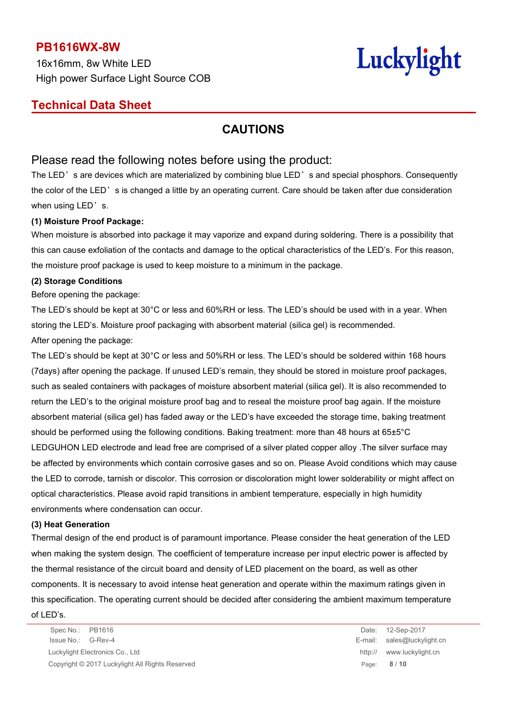16x16mm, 8w White LED High power Surface Light Source COB

# Luckylight

# **Technical Data Sheet**

# **CAUTIONS**

## Please read the following notes before using the product:

The LED's are devices which are materialized by combining blue LED's and special phosphors. Consequently the color of the LED's is changed a little by an operating current. Care should be taken after due consideration when using LED's.

#### **(1) Moisture Proof Package:**

When moisture is absorbed into package it may vaporize and expand during soldering. There is a possibility that this can cause exfoliation of the contacts and damage to the optical characteristics of the LED's. For this reason, the moisture proof package is used to keep moisture to a minimum in the package.

#### **(2) Storage Conditions**

Before opening the package:

The LED's should be kept at 30°C or less and 60%RH or less. The LED's should be used with in a year. When storing the LED's. Moisture proof packaging with absorbent material (silica gel) is recommended. After opening the package:

The LED's should be kept at 30°C or less and 50%RH or less. The LED's should be soldered within 168 hours (7days) after opening the package. If unused LED's remain, they should be stored in moisture proof packages, such as sealed containers with packages of moisture absorbent material (silica gel). It is also recommended to return the LED's to the original moisture proof bag and to reseal the moisture proof bag again. If the moisture absorbent material (silica gel) has faded away or the LED's have exceeded the storage time, baking treatment should be performed using the following conditions. Baking treatment: more than 48 hours at 65±5°C LEDGUHON LED electrode and lead free are comprised of a silver plated copper alloy .The silver surface may be affected by environments which contain corrosive gases and so on. Please Avoid conditions which may cause the LED to corrode, tarnish or discolor. This corrosion or discoloration might lower solderability or might affect on optical characteristics. Please avoid rapid transitions in ambient temperature, especially in high humidity environments where condensation can occur.

#### **(3) Heat Generation**

Thermal design of the end product is of paramount importance. Please consider the heat generation of the LED when making the system design. The coefficient of temperature increase per input electric power is affected by the thermal resistance of the circuit board and density of LED placement on the board, as well as other components. It is necessary to avoid intense heat generation and operate within the maximum ratings given in this specification. The operating current should be decided after considering the ambient maximum temperature

of LED's.

Spec No.: PB1616 Date: 12-Sep-2017 Issue No.: G-Rev-4 E-mail: sales@luckylight.cn Luckylight Electronics Co., Ltd http:// www.luckylight.cn Copyright © 2017 Luckylight All Rights Reserved Page: **8** / **10**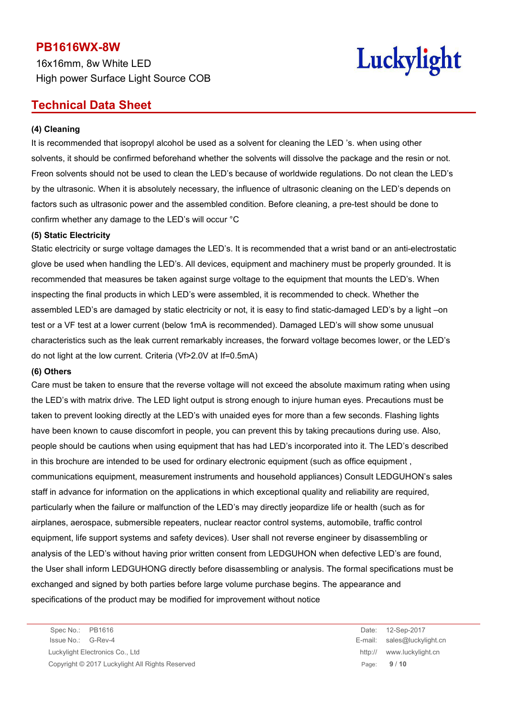16x16mm, 8w White LED High power Surface Light Source COB

# Luckylight

# **Technical Data Sheet**

#### **(4) Cleaning**

It is recommended that isopropyl alcohol be used as a solvent for cleaning the LED 's. when using other solvents, it should be confirmed beforehand whether the solvents will dissolve the package and the resin or not. Freon solvents should not be used to clean the LED's because of worldwide regulations. Do not clean the LED's by the ultrasonic. When it is absolutely necessary, the influence of ultrasonic cleaning on the LED's depends on factors such as ultrasonic power and the assembled condition. Before cleaning, a pre-test should be done to confirm whether any damage to the LED's will occur °C

#### **(5) Static Electricity**

Static electricity or surge voltage damages the LED's. It is recommended that a wrist band or an anti-electrostatic glove be used when handling the LED's. All devices, equipment and machinery must be properly grounded. It is recommended that measures be taken against surge voltage to the equipment that mounts the LED's. When inspecting the final products in which LED's were assembled, it is recommended to check. Whether the assembled LED's are damaged by static electricity or not, it is easy to find static-damaged LED's by a light –on test or a VF test at a lower current (below 1mA is recommended). Damaged LED's will show some unusual characteristics such as the leak current remarkably increases, the forward voltage becomes lower, or the LED's do not light at the low current. Criteria (Vf>2.0V at If=0.5mA)

#### **(6) Others**

Care must be taken to ensure that the reverse voltage will not exceed the absolute maximum rating when using the LED's with matrix drive. The LED light output is strong enough to injure human eyes. Precautions must be taken to prevent looking directly at the LED's with unaided eyes for more than a few seconds. Flashing lights have been known to cause discomfort in people, you can prevent this by taking precautions during use. Also, people should be cautions when using equipment that has had LED's incorporated into it. The LED's described in this brochure are intended to be used for ordinary electronic equipment (such as office equipment , communications equipment, measurement instruments and household appliances) Consult LEDGUHON's sales staff in advance for information on the applications in which exceptional quality and reliability are required, particularly when the failure or malfunction of the LED's may directly jeopardize life or health (such as for airplanes, aerospace, submersible repeaters, nuclear reactor control systems, automobile, traffic control equipment, life support systems and safety devices). User shall not reverse engineer by disassembling or analysis of the LED's without having prior written consent from LEDGUHON when defective LED's are found, the User shall inform LEDGUHONG directly before disassembling or analysis. The formal specifications must be exchanged and signed by both parties before large volume purchase begins. The appearance and specifications of the product may be modified for improvement without notice